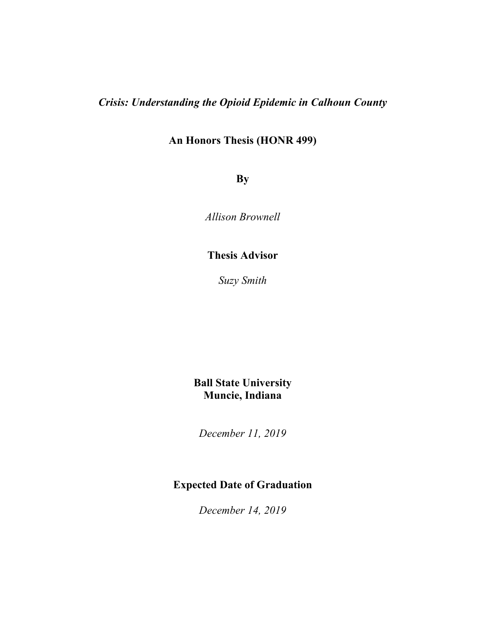*Crisis: Understanding the Opioid Epidemic in Calhoun County*

#### **An Honors Thesis (HONR 499)**

**By**

*Allison Brownell*

#### **Thesis Advisor**

*Suzy Smith*

#### **Ball State University Muncie, Indiana**

*December 11, 2019*

## **Expected Date of Graduation**

*December 14, 2019*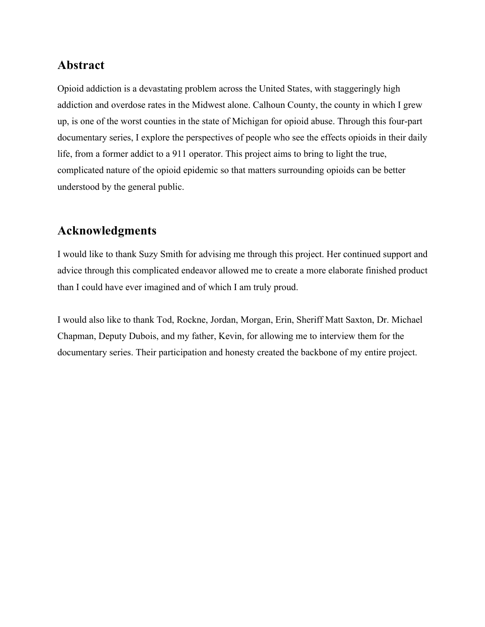#### **Abstract**

Opioid addiction is a devastating problem across the United States, with staggeringly high addiction and overdose rates in the Midwest alone. Calhoun County, the county in which I grew up, is one of the worst counties in the state of Michigan for opioid abuse. Through this four-part documentary series, I explore the perspectives of people who see the effects opioids in their daily life, from a former addict to a 911 operator. This project aims to bring to light the true, complicated nature of the opioid epidemic so that matters surrounding opioids can be better understood by the general public.

### **Acknowledgments**

I would like to thank Suzy Smith for advising me through this project. Her continued support and advice through this complicated endeavor allowed me to create a more elaborate finished product than I could have ever imagined and of which I am truly proud.

I would also like to thank Tod, Rockne, Jordan, Morgan, Erin, Sheriff Matt Saxton, Dr. Michael Chapman, Deputy Dubois, and my father, Kevin, for allowing me to interview them for the documentary series. Their participation and honesty created the backbone of my entire project.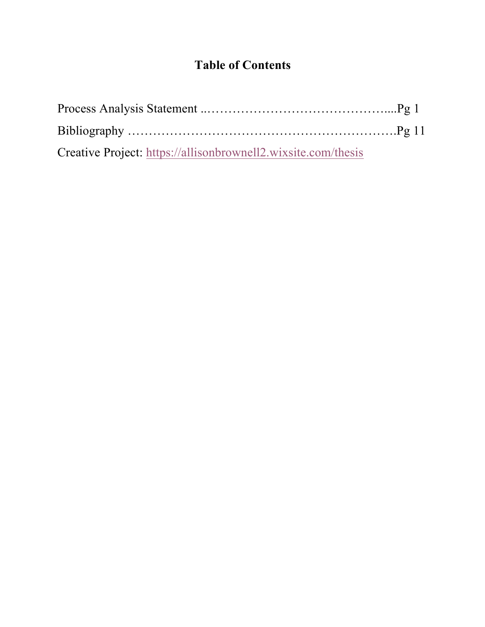# **Table of Contents**

| Creative Project: https://allisonbrownell2.wixsite.com/thesis |  |
|---------------------------------------------------------------|--|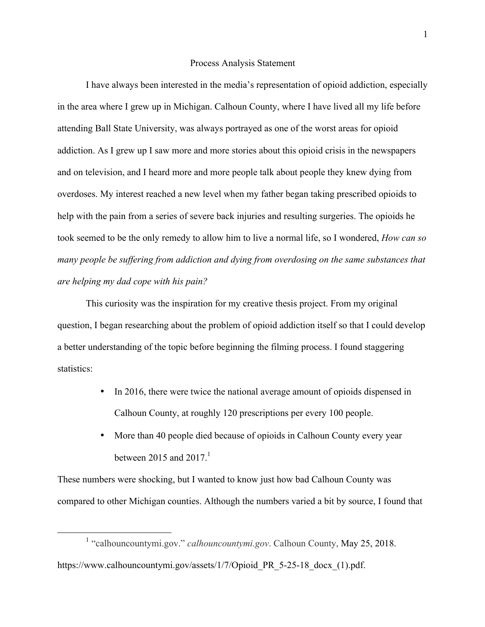#### Process Analysis Statement

I have always been interested in the media's representation of opioid addiction, especially in the area where I grew up in Michigan. Calhoun County, where I have lived all my life before attending Ball State University, was always portrayed as one of the worst areas for opioid addiction. As I grew up I saw more and more stories about this opioid crisis in the newspapers and on television, and I heard more and more people talk about people they knew dying from overdoses. My interest reached a new level when my father began taking prescribed opioids to help with the pain from a series of severe back injuries and resulting surgeries. The opioids he took seemed to be the only remedy to allow him to live a normal life, so I wondered, *How can so many people be suffering from addiction and dying from overdosing on the same substances that are helping my dad cope with his pain?*

This curiosity was the inspiration for my creative thesis project. From my original question, I began researching about the problem of opioid addiction itself so that I could develop a better understanding of the topic before beginning the filming process. I found staggering statistics:

- In 2016, there were twice the national average amount of opioids dispensed in Calhoun County, at roughly 120 prescriptions per every 100 people.
- More than 40 people died because of opioids in Calhoun County every year between 2015 and 2017.<sup>1</sup>

These numbers were shocking, but I wanted to know just how bad Calhoun County was compared to other Michigan counties. Although the numbers varied a bit by source, I found that

 <sup>1</sup> "calhouncountymi.gov." *calhouncountymi.gov*. Calhoun County, May 25, 2018. https://www.calhouncountymi.gov/assets/1/7/Opioid PR 5-25-18 docx (1).pdf.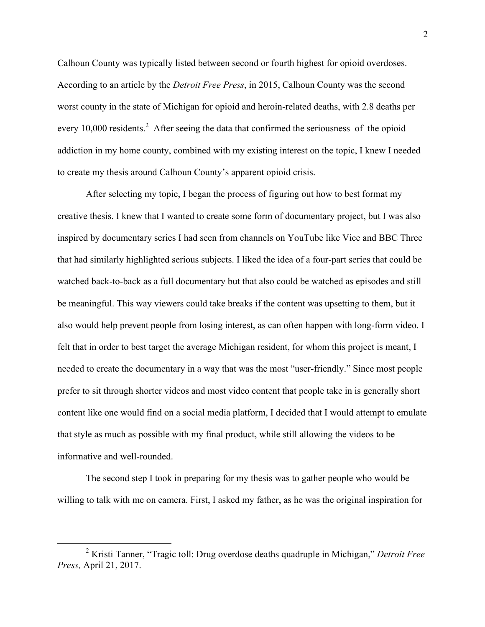Calhoun County was typically listed between second or fourth highest for opioid overdoses. According to an article by the *Detroit Free Press*, in 2015, Calhoun County was the second worst county in the state of Michigan for opioid and heroin-related deaths, with 2.8 deaths per every 10,000 residents.<sup>2</sup> After seeing the data that confirmed the seriousness of the opioid addiction in my home county, combined with my existing interest on the topic, I knew I needed to create my thesis around Calhoun County's apparent opioid crisis.

After selecting my topic, I began the process of figuring out how to best format my creative thesis. I knew that I wanted to create some form of documentary project, but I was also inspired by documentary series I had seen from channels on YouTube like Vice and BBC Three that had similarly highlighted serious subjects. I liked the idea of a four-part series that could be watched back-to-back as a full documentary but that also could be watched as episodes and still be meaningful. This way viewers could take breaks if the content was upsetting to them, but it also would help prevent people from losing interest, as can often happen with long-form video. I felt that in order to best target the average Michigan resident, for whom this project is meant, I needed to create the documentary in a way that was the most "user-friendly." Since most people prefer to sit through shorter videos and most video content that people take in is generally short content like one would find on a social media platform, I decided that I would attempt to emulate that style as much as possible with my final product, while still allowing the videos to be informative and well-rounded.

The second step I took in preparing for my thesis was to gather people who would be willing to talk with me on camera. First, I asked my father, as he was the original inspiration for

 <sup>2</sup> Kristi Tanner, "Tragic toll: Drug overdose deaths quadruple in Michigan," *Detroit Free Press,* April 21, 2017.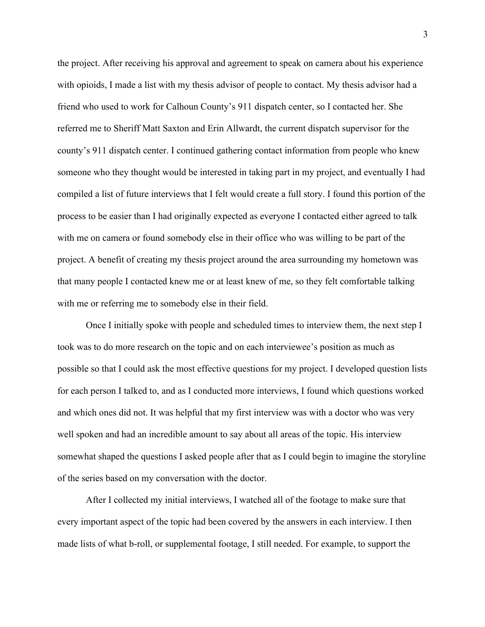the project. After receiving his approval and agreement to speak on camera about his experience with opioids, I made a list with my thesis advisor of people to contact. My thesis advisor had a friend who used to work for Calhoun County's 911 dispatch center, so I contacted her. She referred me to Sheriff Matt Saxton and Erin Allwardt, the current dispatch supervisor for the county's 911 dispatch center. I continued gathering contact information from people who knew someone who they thought would be interested in taking part in my project, and eventually I had compiled a list of future interviews that I felt would create a full story. I found this portion of the process to be easier than I had originally expected as everyone I contacted either agreed to talk with me on camera or found somebody else in their office who was willing to be part of the project. A benefit of creating my thesis project around the area surrounding my hometown was that many people I contacted knew me or at least knew of me, so they felt comfortable talking with me or referring me to somebody else in their field.

Once I initially spoke with people and scheduled times to interview them, the next step I took was to do more research on the topic and on each interviewee's position as much as possible so that I could ask the most effective questions for my project. I developed question lists for each person I talked to, and as I conducted more interviews, I found which questions worked and which ones did not. It was helpful that my first interview was with a doctor who was very well spoken and had an incredible amount to say about all areas of the topic. His interview somewhat shaped the questions I asked people after that as I could begin to imagine the storyline of the series based on my conversation with the doctor.

After I collected my initial interviews, I watched all of the footage to make sure that every important aspect of the topic had been covered by the answers in each interview. I then made lists of what b-roll, or supplemental footage, I still needed. For example, to support the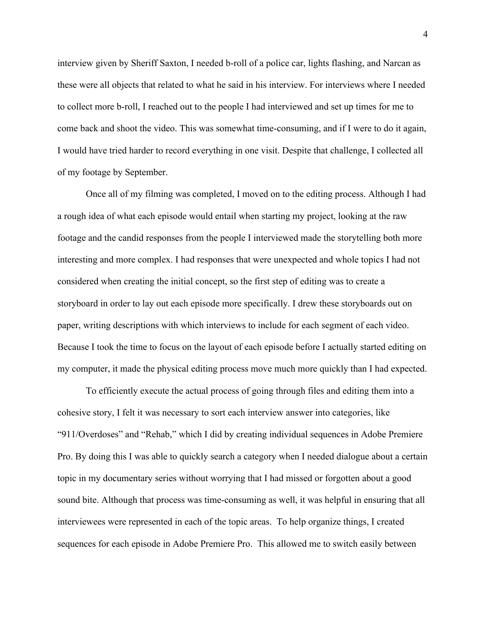interview given by Sheriff Saxton, I needed b-roll of a police car, lights flashing, and Narcan as these were all objects that related to what he said in his interview. For interviews where I needed to collect more b-roll, I reached out to the people I had interviewed and set up times for me to come back and shoot the video. This was somewhat time-consuming, and if I were to do it again, I would have tried harder to record everything in one visit. Despite that challenge, I collected all of my footage by September.

Once all of my filming was completed, I moved on to the editing process. Although I had a rough idea of what each episode would entail when starting my project, looking at the raw footage and the candid responses from the people I interviewed made the storytelling both more interesting and more complex. I had responses that were unexpected and whole topics I had not considered when creating the initial concept, so the first step of editing was to create a storyboard in order to lay out each episode more specifically. I drew these storyboards out on paper, writing descriptions with which interviews to include for each segment of each video. Because I took the time to focus on the layout of each episode before I actually started editing on my computer, it made the physical editing process move much more quickly than I had expected.

To efficiently execute the actual process of going through files and editing them into a cohesive story, I felt it was necessary to sort each interview answer into categories, like "911/Overdoses" and "Rehab," which I did by creating individual sequences in Adobe Premiere Pro. By doing this I was able to quickly search a category when I needed dialogue about a certain topic in my documentary series without worrying that I had missed or forgotten about a good sound bite. Although that process was time-consuming as well, it was helpful in ensuring that all interviewees were represented in each of the topic areas. To help organize things, I created sequences for each episode in Adobe Premiere Pro. This allowed me to switch easily between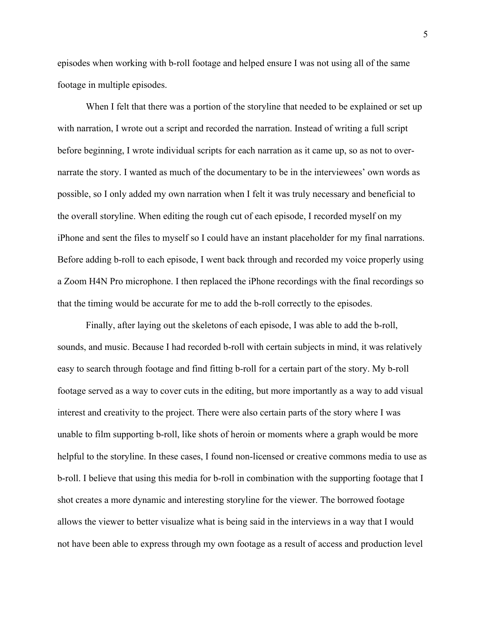episodes when working with b-roll footage and helped ensure I was not using all of the same footage in multiple episodes.

When I felt that there was a portion of the storyline that needed to be explained or set up with narration, I wrote out a script and recorded the narration. Instead of writing a full script before beginning, I wrote individual scripts for each narration as it came up, so as not to overnarrate the story. I wanted as much of the documentary to be in the interviewees' own words as possible, so I only added my own narration when I felt it was truly necessary and beneficial to the overall storyline. When editing the rough cut of each episode, I recorded myself on my iPhone and sent the files to myself so I could have an instant placeholder for my final narrations. Before adding b-roll to each episode, I went back through and recorded my voice properly using a Zoom H4N Pro microphone. I then replaced the iPhone recordings with the final recordings so that the timing would be accurate for me to add the b-roll correctly to the episodes.

Finally, after laying out the skeletons of each episode, I was able to add the b-roll, sounds, and music. Because I had recorded b-roll with certain subjects in mind, it was relatively easy to search through footage and find fitting b-roll for a certain part of the story. My b-roll footage served as a way to cover cuts in the editing, but more importantly as a way to add visual interest and creativity to the project. There were also certain parts of the story where I was unable to film supporting b-roll, like shots of heroin or moments where a graph would be more helpful to the storyline. In these cases, I found non-licensed or creative commons media to use as b-roll. I believe that using this media for b-roll in combination with the supporting footage that I shot creates a more dynamic and interesting storyline for the viewer. The borrowed footage allows the viewer to better visualize what is being said in the interviews in a way that I would not have been able to express through my own footage as a result of access and production level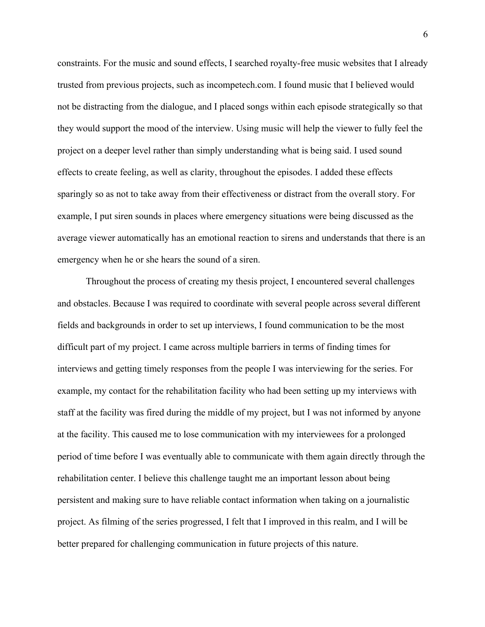constraints. For the music and sound effects, I searched royalty-free music websites that I already trusted from previous projects, such as incompetech.com. I found music that I believed would not be distracting from the dialogue, and I placed songs within each episode strategically so that they would support the mood of the interview. Using music will help the viewer to fully feel the project on a deeper level rather than simply understanding what is being said. I used sound effects to create feeling, as well as clarity, throughout the episodes. I added these effects sparingly so as not to take away from their effectiveness or distract from the overall story. For example, I put siren sounds in places where emergency situations were being discussed as the average viewer automatically has an emotional reaction to sirens and understands that there is an emergency when he or she hears the sound of a siren.

Throughout the process of creating my thesis project, I encountered several challenges and obstacles. Because I was required to coordinate with several people across several different fields and backgrounds in order to set up interviews, I found communication to be the most difficult part of my project. I came across multiple barriers in terms of finding times for interviews and getting timely responses from the people I was interviewing for the series. For example, my contact for the rehabilitation facility who had been setting up my interviews with staff at the facility was fired during the middle of my project, but I was not informed by anyone at the facility. This caused me to lose communication with my interviewees for a prolonged period of time before I was eventually able to communicate with them again directly through the rehabilitation center. I believe this challenge taught me an important lesson about being persistent and making sure to have reliable contact information when taking on a journalistic project. As filming of the series progressed, I felt that I improved in this realm, and I will be better prepared for challenging communication in future projects of this nature.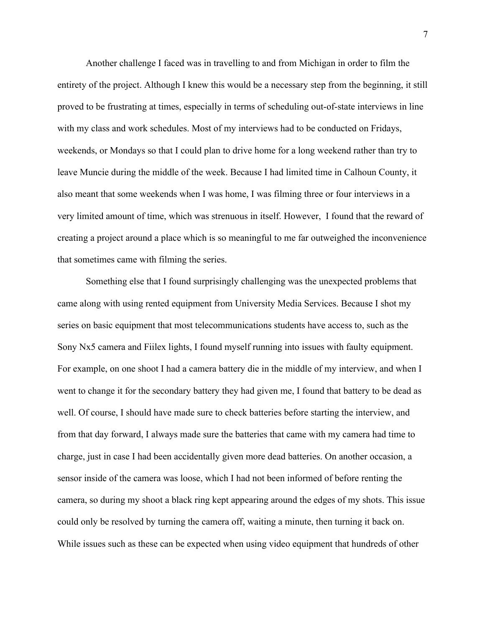Another challenge I faced was in travelling to and from Michigan in order to film the entirety of the project. Although I knew this would be a necessary step from the beginning, it still proved to be frustrating at times, especially in terms of scheduling out-of-state interviews in line with my class and work schedules. Most of my interviews had to be conducted on Fridays, weekends, or Mondays so that I could plan to drive home for a long weekend rather than try to leave Muncie during the middle of the week. Because I had limited time in Calhoun County, it also meant that some weekends when I was home, I was filming three or four interviews in a very limited amount of time, which was strenuous in itself. However, I found that the reward of creating a project around a place which is so meaningful to me far outweighed the inconvenience that sometimes came with filming the series.

Something else that I found surprisingly challenging was the unexpected problems that came along with using rented equipment from University Media Services. Because I shot my series on basic equipment that most telecommunications students have access to, such as the Sony Nx5 camera and Fiilex lights, I found myself running into issues with faulty equipment. For example, on one shoot I had a camera battery die in the middle of my interview, and when I went to change it for the secondary battery they had given me, I found that battery to be dead as well. Of course, I should have made sure to check batteries before starting the interview, and from that day forward, I always made sure the batteries that came with my camera had time to charge, just in case I had been accidentally given more dead batteries. On another occasion, a sensor inside of the camera was loose, which I had not been informed of before renting the camera, so during my shoot a black ring kept appearing around the edges of my shots. This issue could only be resolved by turning the camera off, waiting a minute, then turning it back on. While issues such as these can be expected when using video equipment that hundreds of other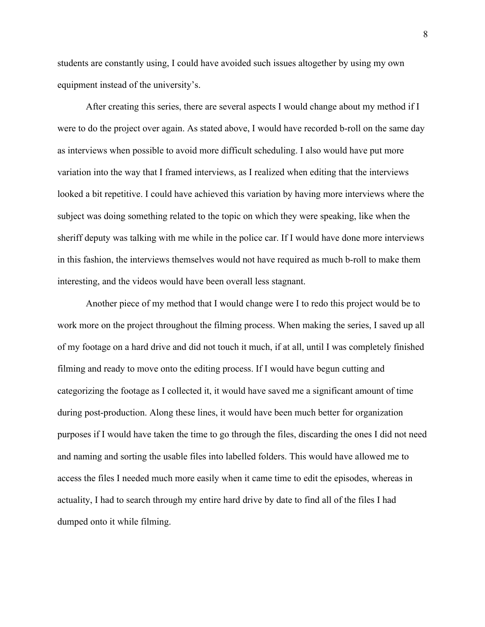students are constantly using, I could have avoided such issues altogether by using my own equipment instead of the university's.

After creating this series, there are several aspects I would change about my method if I were to do the project over again. As stated above, I would have recorded b-roll on the same day as interviews when possible to avoid more difficult scheduling. I also would have put more variation into the way that I framed interviews, as I realized when editing that the interviews looked a bit repetitive. I could have achieved this variation by having more interviews where the subject was doing something related to the topic on which they were speaking, like when the sheriff deputy was talking with me while in the police car. If I would have done more interviews in this fashion, the interviews themselves would not have required as much b-roll to make them interesting, and the videos would have been overall less stagnant.

Another piece of my method that I would change were I to redo this project would be to work more on the project throughout the filming process. When making the series, I saved up all of my footage on a hard drive and did not touch it much, if at all, until I was completely finished filming and ready to move onto the editing process. If I would have begun cutting and categorizing the footage as I collected it, it would have saved me a significant amount of time during post-production. Along these lines, it would have been much better for organization purposes if I would have taken the time to go through the files, discarding the ones I did not need and naming and sorting the usable files into labelled folders. This would have allowed me to access the files I needed much more easily when it came time to edit the episodes, whereas in actuality, I had to search through my entire hard drive by date to find all of the files I had dumped onto it while filming.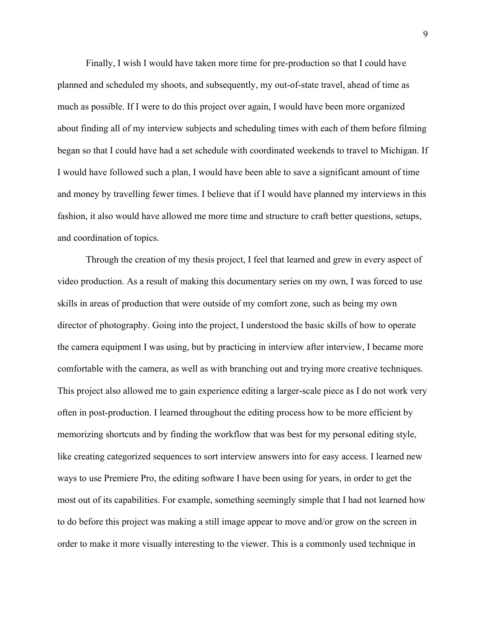Finally, I wish I would have taken more time for pre-production so that I could have planned and scheduled my shoots, and subsequently, my out-of-state travel, ahead of time as much as possible. If I were to do this project over again, I would have been more organized about finding all of my interview subjects and scheduling times with each of them before filming began so that I could have had a set schedule with coordinated weekends to travel to Michigan. If I would have followed such a plan, I would have been able to save a significant amount of time and money by travelling fewer times. I believe that if I would have planned my interviews in this fashion, it also would have allowed me more time and structure to craft better questions, setups, and coordination of topics.

Through the creation of my thesis project, I feel that learned and grew in every aspect of video production. As a result of making this documentary series on my own, I was forced to use skills in areas of production that were outside of my comfort zone, such as being my own director of photography. Going into the project, I understood the basic skills of how to operate the camera equipment I was using, but by practicing in interview after interview, I became more comfortable with the camera, as well as with branching out and trying more creative techniques. This project also allowed me to gain experience editing a larger-scale piece as I do not work very often in post-production. I learned throughout the editing process how to be more efficient by memorizing shortcuts and by finding the workflow that was best for my personal editing style, like creating categorized sequences to sort interview answers into for easy access. I learned new ways to use Premiere Pro, the editing software I have been using for years, in order to get the most out of its capabilities. For example, something seemingly simple that I had not learned how to do before this project was making a still image appear to move and/or grow on the screen in order to make it more visually interesting to the viewer. This is a commonly used technique in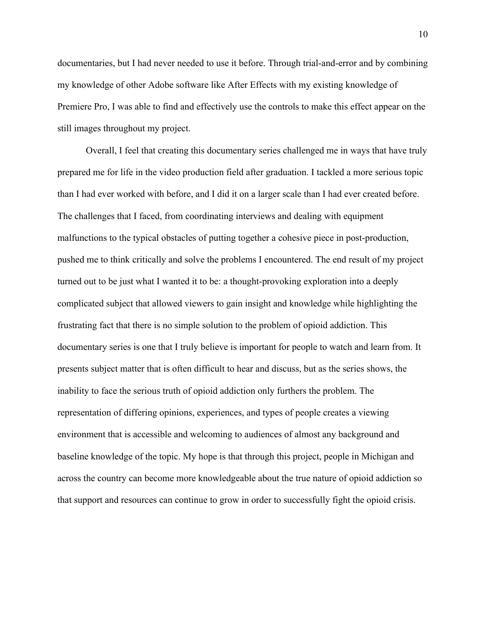documentaries, but I had never needed to use it before. Through trial-and-error and by combining my knowledge of other Adobe software like After Effects with my existing knowledge of Premiere Pro, I was able to find and effectively use the controls to make this effect appear on the still images throughout my project.

Overall, I feel that creating this documentary series challenged me in ways that have truly prepared me for life in the video production field after graduation. I tackled a more serious topic than I had ever worked with before, and I did it on a larger scale than I had ever created before. The challenges that I faced, from coordinating interviews and dealing with equipment malfunctions to the typical obstacles of putting together a cohesive piece in post-production, pushed me to think critically and solve the problems I encountered. The end result of my project turned out to be just what I wanted it to be: a thought-provoking exploration into a deeply complicated subject that allowed viewers to gain insight and knowledge while highlighting the frustrating fact that there is no simple solution to the problem of opioid addiction. This documentary series is one that I truly believe is important for people to watch and learn from. It presents subject matter that is often difficult to hear and discuss, but as the series shows, the inability to face the serious truth of opioid addiction only furthers the problem. The representation of differing opinions, experiences, and types of people creates a viewing environment that is accessible and welcoming to audiences of almost any background and baseline knowledge of the topic. My hope is that through this project, people in Michigan and across the country can become more knowledgeable about the true nature of opioid addiction so that support and resources can continue to grow in order to successfully fight the opioid crisis.